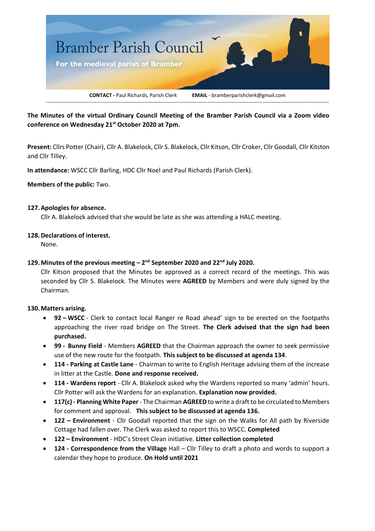

**The Minutes of the virtual Ordinary Council Meeting of the Bramber Parish Council via a Zoom video conference on Wednesday 21st October 2020 at 7pm.**

**Present:** Cllrs Potter (Chair), Cllr A. Blakelock, Cllr S. Blakelock, Cllr Kitson, Cllr Croker, Cllr Goodall, Cllr Kitston and Cllr Tilley.

**In attendance:** WSCC Cllr Barling, HDC Cllr Noel and Paul Richards (Parish Clerk).

**Members of the public:** Two.

### **127.Apologies for absence.**

Cllr A. Blakelock advised that she would be late as she was attending a HALC meeting.

### **128.Declarations of interest.**

None.

# **129.Minutes of the previous meeting – 2 nd September 2020 and 22nd July 2020.**

Cllr Kitson proposed that the Minutes be approved as a correct record of the meetings. This was seconded by Cllr S. Blakelock. The Minutes were **AGREED** by Members and were duly signed by the Chairman.

### **130.Matters arising.**

- **92 – WSCC** Clerk to contact local Ranger re Road ahead' sign to be erected on the footpaths approaching the river road bridge on The Street. **The Clerk advised that the sign had been purchased.**
- **99 - Bunny Field** Members **AGREED** that the Chairman approach the owner to seek permissive use of the new route for the footpath. **This subject to be discussed at agenda 134**.
- **114 - Parking at Castle Lane** Chairman to write to English Heritage advising them of the increase in litter at the Castle. **Done and response received.**
- **114 - Wardens report** Cllr A. Blakelock asked why the Wardens reported so many 'admin' hours. Cllr Potter will ask the Wardens for an explanation. **Explanation now provided.**
- **117(c) - Planning White Paper** The Chairman **AGREED** to write a draft to be circulated to Members for comment and approval. **This subject to be discussed at agenda 136.**
- **122 – Environment** Cllr Goodall reported that the sign on the Walks for All path by Riverside Cottage had fallen over. The Clerk was asked to report this to WSCC. **Completed**
- **122 – Environment** HDC's Street Clean initiative. **Litter collection completed**
- **124 - Correspondence from the Village** Hall Cllr Tilley to draft a photo and words to support a calendar they hope to produce. **On Hold until 2021**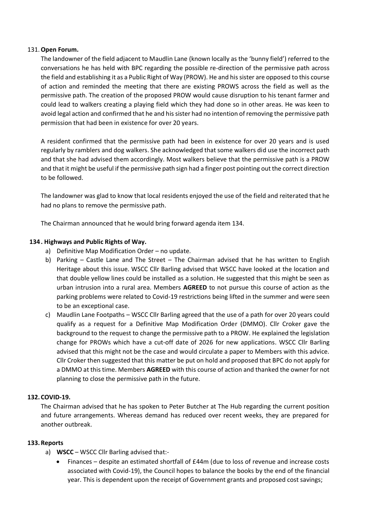### 131.**Open Forum.**

The landowner of the field adjacent to Maudlin Lane (known locally as the 'bunny field') referred to the conversations he has held with BPC regarding the possible re-direction of the permissive path across the field and establishing it as a Public Right of Way (PROW). He and his sister are opposed to this course of action and reminded the meeting that there are existing PROWS across the field as well as the permissive path. The creation of the proposed PROW would cause disruption to his tenant farmer and could lead to walkers creating a playing field which they had done so in other areas. He was keen to avoid legal action and confirmed that he and his sister had no intention of removing the permissive path permission that had been in existence for over 20 years.

A resident confirmed that the permissive path had been in existence for over 20 years and is used regularly by ramblers and dog walkers. She acknowledged that some walkers did use the incorrect path and that she had advised them accordingly. Most walkers believe that the permissive path is a PROW and that it might be useful if the permissive path sign had a finger post pointing out the correct direction to be followed.

The landowner was glad to know that local residents enjoyed the use of the field and reiterated that he had no plans to remove the permissive path.

The Chairman announced that he would bring forward agenda item 134.

### **134. Highways and Public Rights of Way.**

- a) Definitive Map Modification Order no update.
- b) Parking Castle Lane and The Street The Chairman advised that he has written to English Heritage about this issue. WSCC Cllr Barling advised that WSCC have looked at the location and that double yellow lines could be installed as a solution. He suggested that this might be seen as urban intrusion into a rural area. Members **AGREED** to not pursue this course of action as the parking problems were related to Covid-19 restrictions being lifted in the summer and were seen to be an exceptional case.
- c) Maudlin Lane Footpaths WSCC Cllr Barling agreed that the use of a path for over 20 years could qualify as a request for a Definitive Map Modification Order (DMMO). Cllr Croker gave the background to the request to change the permissive path to a PROW. He explained the legislation change for PROWs which have a cut-off date of 2026 for new applications. WSCC Cllr Barling advised that this might not be the case and would circulate a paper to Members with this advice. Cllr Croker then suggested that this matter be put on hold and proposed that BPC do not apply for a DMMO at this time. Members **AGREED** with this course of action and thanked the owner for not planning to close the permissive path in the future.

### **132. COVID-19.**

The Chairman advised that he has spoken to Peter Butcher at The Hub regarding the current position and future arrangements. Whereas demand has reduced over recent weeks, they are prepared for another outbreak.

### **133.Reports**

- a) **WSCC** WSCC Cllr Barling advised that:-
	- Finances despite an estimated shortfall of £44m (due to loss of revenue and increase costs associated with Covid-19), the Council hopes to balance the books by the end of the financial year. This is dependent upon the receipt of Government grants and proposed cost savings;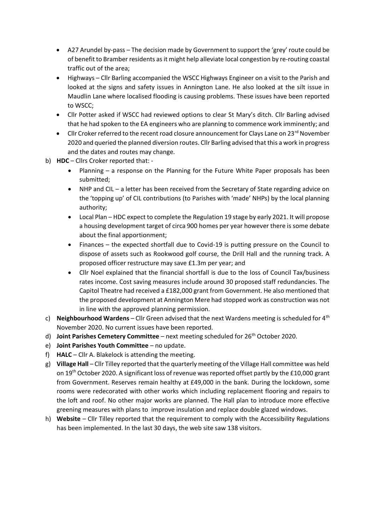- A27 Arundel by-pass The decision made by Government to support the 'grey' route could be of benefit to Bramber residents as it might help alleviate local congestion by re-routing coastal traffic out of the area;
- Highways Cllr Barling accompanied the WSCC Highways Engineer on a visit to the Parish and looked at the signs and safety issues in Annington Lane. He also looked at the silt issue in Maudlin Lane where localised flooding is causing problems. These issues have been reported to WSCC;
- Cllr Potter asked if WSCC had reviewed options to clear St Mary's ditch. Cllr Barling advised that he had spoken to the EA engineers who are planning to commence work imminently; and
- Cllr Croker referred to the recent road closure announcement for Clays Lane on 23<sup>rd</sup> November 2020 and queried the planned diversion routes. Cllr Barling advised that this a work in progress and the dates and routes may change.
- b) **HDC** Cllrs Croker reported that:
	- Planning a response on the Planning for the Future White Paper proposals has been submitted;
	- NHP and CIL a letter has been received from the Secretary of State regarding advice on the 'topping up' of CIL contributions (to Parishes with 'made' NHPs) by the local planning authority;
	- Local Plan HDC expect to complete the Regulation 19 stage by early 2021. It will propose a housing development target of circa 900 homes per year however there is some debate about the final apportionment;
	- Finances the expected shortfall due to Covid-19 is putting pressure on the Council to dispose of assets such as Rookwood golf course, the Drill Hall and the running track. A proposed officer restructure may save £1.3m per year; and
	- Cllr Noel explained that the financial shortfall is due to the loss of Council Tax/business rates income. Cost saving measures include around 30 proposed staff redundancies. The Capitol Theatre had received a £182,000 grant from Government. He also mentioned that the proposed development at Annington Mere had stopped work as construction was not in line with the approved planning permission.
- c) **Neighbourhood Wardens** Cllr Green advised that the next Wardens meeting is scheduled for 4th November 2020. No current issues have been reported.
- d) **Joint Parishes Cemetery Committee** next meeting scheduled for 26th October 2020.
- e) **Joint Parishes Youth Committee** no update.
- f) **HALC** Cllr A. Blakelock is attending the meeting.
- g) **Village Hall** Cllr Tilley reported that the quarterly meeting of the Village Hall committee was held on 19<sup>th</sup> October 2020. A significant loss of revenue was reported offset partly by the £10,000 grant from Government. Reserves remain healthy at £49,000 in the bank. During the lockdown, some rooms were redecorated with other works which including replacement flooring and repairs to the loft and roof. No other major works are planned. The Hall plan to introduce more effective greening measures with plans to improve insulation and replace double glazed windows.
- h) **Website**  Cllr Tilley reported that the requirement to comply with the Accessibility Regulations has been implemented. In the last 30 days, the web site saw 138 visitors.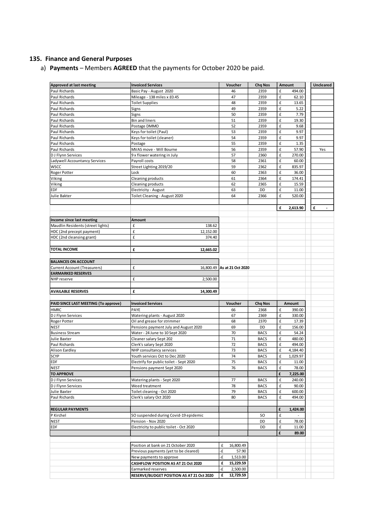# **135. Finance and General Purposes**

a) **Payments** – Members **AGREED** that the payments for October 2020 be paid.

| <b>Approved at last meeting</b>      | <b>Invoiced Services</b>                | Voucher                     | <b>Chq Nos</b> | Amount        | Uncleared |
|--------------------------------------|-----------------------------------------|-----------------------------|----------------|---------------|-----------|
| Paul Richards                        | Basic Pay - August 2020                 | 46                          | 2359           | £<br>494.00   |           |
| Paul Richards                        | Mileage - 138 miles x £0.45             | 47                          | 2359           | £<br>62.10    |           |
| Paul Richards                        | <b>Toilet Supplies</b>                  | 48                          | 2359           | £<br>13.65    |           |
| Paul Richards                        | Signs                                   | 49                          | 2359           | £<br>5.22     |           |
| Paul Richards                        | Signs                                   | 50                          | 2359           | £<br>7.79     |           |
| Paul Richards                        | <b>Bin and liners</b>                   | 51                          | 2359           | £<br>19.30    |           |
| Paul Richards                        | Postage DMMO                            | 52                          | 2359           | £<br>9.68     |           |
| Paul Richards                        |                                         | 53                          | 2359           | £<br>9.97     |           |
|                                      | Keys for toilet (Paul)                  |                             |                |               |           |
| Paul Richards                        | Keys for toilet (cleaner)               | 54                          | 2359           | £<br>9.97     |           |
| Paul Richards                        | Postage                                 | 55                          | 2359           | £<br>1.35     |           |
| Paul Richards                        | MVAS move - Will Bourne                 | 56                          | 2359           | £<br>57.90    | Yes       |
| DJ Flynn Services                    | 9 x flower watering in July             | 57                          | 2360           | £<br>270.00   |           |
| Ladywell Accountancy Services        | Payroll costs                           | 58                          | 2361           | £<br>60.00    |           |
| <b>WSCC</b>                          | Street Lighting 2019/20                 | 59                          | 2362           | £<br>835.97   |           |
| Roger Potter                         | Lock                                    | 60                          | 2363           | £<br>36.00    |           |
| Viking                               | Cleaning products                       | 61                          | 2364           | £<br>174.41   |           |
|                                      |                                         |                             |                |               |           |
| Viking                               | Cleaning products                       | 62                          | 2365           | £<br>15.59    |           |
| EDF                                  | Electricity - August                    | 63                          | DD             | £<br>11.00    |           |
| Julie Bakter                         | Toilet Cleaning - August 2020           | 64                          | 2366           | £<br>520.00   |           |
|                                      |                                         |                             |                |               |           |
|                                      |                                         |                             |                | £<br>2,613.90 | £         |
|                                      |                                         |                             |                |               |           |
|                                      |                                         |                             |                |               |           |
| Income since last meeting            | Amount                                  |                             |                |               |           |
| Maudlin Residents (street lights)    | £<br>138.62                             |                             |                |               |           |
| HDC (2nd precept payment)            | £<br>12,152.00                          |                             |                |               |           |
| HDC (2nd cleansing grant)            | £<br>374.40                             |                             |                |               |           |
|                                      |                                         |                             |                |               |           |
| <b>TOTAL INCOME</b>                  | £<br>12,665.02                          |                             |                |               |           |
|                                      |                                         |                             |                |               |           |
|                                      |                                         |                             |                |               |           |
| <b>BALANCES ON ACCOUNT</b>           |                                         |                             |                |               |           |
| <b>Current Account (Treasurers)</b>  | £                                       | 16,800.49 As at 21 Oct 2020 |                |               |           |
| <b>EARMARKED RESERVES</b>            |                                         |                             |                |               |           |
| NHP reserve                          | £<br>2,500.00                           |                             |                |               |           |
|                                      |                                         |                             |                |               |           |
| <b>AVAILABLE RESERVES</b>            | £<br>14,300.49                          |                             |                |               |           |
|                                      |                                         |                             |                |               |           |
|                                      |                                         |                             |                |               |           |
| PAID SINCE LAST MEETING (To approve) | <b>Invoiced Services</b>                | Voucher                     | <b>Chq Nos</b> | Amount        |           |
| <b>HMRC</b>                          | PAYE                                    | 66                          | 2368           | £<br>390.00   |           |
| DJ Flynn Services                    | Watering plants - August 2020           | 67                          | 2369           | £<br>330.00   |           |
| Roger Potter                         | Oil and grease for strimmer             | 68                          | 2370           | £<br>17.39    |           |
| <b>NEST</b>                          | Pensions payment July and August 2020   | 69                          | <b>DD</b>      | £<br>156.00   |           |
| <b>Business Stream</b>               | Water - 24 June to 10 Sept 2020         | 70                          | <b>BACS</b>    | 54.24<br>£    |           |
|                                      |                                         |                             |                |               |           |
| Julie Baxter                         | Cleaner salary Sept 202                 | 71                          | <b>BACS</b>    | £<br>480.00   |           |
| Paul Richards                        | Clerk's salary Sept 2020                | 72                          | <b>BACS</b>    | £<br>494.00   |           |
| Alison Eardley                       | NHP consultancy services                | 73                          | <b>BACS</b>    | £<br>4,184.40 |           |
| SCYP                                 | Youth services Oct to Dec 2020          | 74                          | <b>BACS</b>    | £<br>1,029.97 |           |
| <b>EDF</b>                           | Electrify for public toilet - Sept 2020 | 75                          | <b>BACS</b>    | £<br>11.00    |           |
| <b>NEST</b>                          | Pensions payment Sept 2020              | 76                          | <b>BACS</b>    | £<br>78.00    |           |
| <b>TO APPROVE</b>                    |                                         |                             |                | £<br>7,225.00 |           |
|                                      |                                         |                             |                |               |           |
| <b>DJ Flynn Services</b>             | Watering plants - Sept 2020             | 77                          | <b>BACS</b>    | £<br>240.00   |           |
| <b>DJ Flynn Services</b>             | Weed treatment                          | 78                          | <b>BACS</b>    | £<br>90.00    |           |
| Julie Baxter                         | Toilet cleaning - Oct 2020              | 79                          | <b>BACS</b>    | £<br>600.00   |           |
| Paul Richards                        | Clerk's salary Oct 2020                 | 80                          | <b>BACS</b>    | £<br>494.00   |           |
|                                      |                                         |                             |                |               |           |
| <b>REGULAR PAYMENTS</b>              |                                         |                             |                | £<br>1,424.00 |           |
| P Kirchel                            | SO suspended during Covid-19 epidemic   |                             | <b>SO</b>      | £             |           |
|                                      |                                         |                             |                | £             |           |
| <b>NEST</b>                          | Pension - Nov 2020                      |                             | DD             | 78.00         |           |
| <b>EDF</b>                           | Electricity to public toilet - Oct 2020 |                             | DD             | £<br>11.00    |           |
|                                      |                                         |                             |                | £<br>89.00    |           |
|                                      |                                         |                             |                |               |           |
|                                      | Position at bank on 21 October 2020     | 16,800.49<br>£              |                |               |           |
|                                      | Previous payments (yet to be cleared)   | -£<br>57.90                 |                |               |           |
|                                      |                                         | -£                          |                |               |           |
|                                      | New payments to approve                 | 1,513.00                    |                |               |           |
|                                      | CASHFLOW POSITION AS AT 21 Oct 2020     | £<br>15,229.59              |                |               |           |
|                                      | Earmarked reserves                      | 2,500.00<br>٠£              |                |               |           |
|                                      |                                         |                             |                |               |           |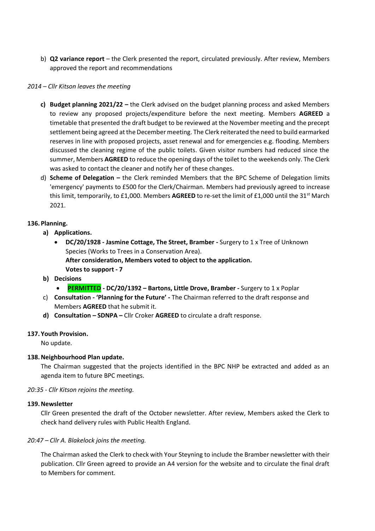b) **Q2 variance report** – the Clerk presented the report, circulated previously. After review, Members approved the report and recommendations

### *2014 – Cllr Kitson leaves the meeting*

- **c) Budget planning 2021/22 –** the Clerk advised on the budget planning process and asked Members to review any proposed projects/expenditure before the next meeting. Members **AGREED** a timetable that presented the draft budget to be reviewed at the November meeting and the precept settlement being agreed at the December meeting. The Clerk reiterated the need to build earmarked reserves in line with proposed projects, asset renewal and for emergencies e.g. flooding. Members discussed the cleaning regime of the public toilets. Given visitor numbers had reduced since the summer, Members **AGREED** to reduce the opening days of the toilet to the weekends only. The Clerk was asked to contact the cleaner and notify her of these changes.
- d) **Scheme of Delegation –** the Clerk reminded Members that the BPC Scheme of Delegation limits 'emergency' payments to £500 for the Clerk/Chairman. Members had previously agreed to increase this limit, temporarily, to £1,000. Members **AGREED** to re-set the limit of £1,000 until the 31<sup>st</sup> March 2021.

### **136.Planning.**

- **a) Applications.**
	- **DC/20/1928 - Jasmine Cottage, The Street, Bramber -** Surgery to 1 x Tree of Unknown Species (Works to Trees in a Conservation Area). **After consideration, Members voted to object to the application. Votes to support - 7**
- **b) Decisions**
	- **PERMITTED - DC/20/1392 – Bartons, Little Drove, Bramber -** Surgery to 1 x Poplar
- c) **Consultation - 'Planning for the Future' -** The Chairman referred to the draft response and Members **AGREED** that he submit it.
- **d) Consultation – SDNPA –** Cllr Croker **AGREED** to circulate a draft response.

### **137. Youth Provision.**

No update.

# **138.Neighbourhood Plan update.**

The Chairman suggested that the projects identified in the BPC NHP be extracted and added as an agenda item to future BPC meetings.

### *20:35 - Cllr Kitson rejoins the meeting.*

### **139.Newsletter**

Cllr Green presented the draft of the October newsletter. After review, Members asked the Clerk to check hand delivery rules with Public Health England.

# *20:47 – Cllr A. Blakelock joins the meeting.*

The Chairman asked the Clerk to check with Your Steyning to include the Bramber newsletter with their publication. Cllr Green agreed to provide an A4 version for the website and to circulate the final draft to Members for comment.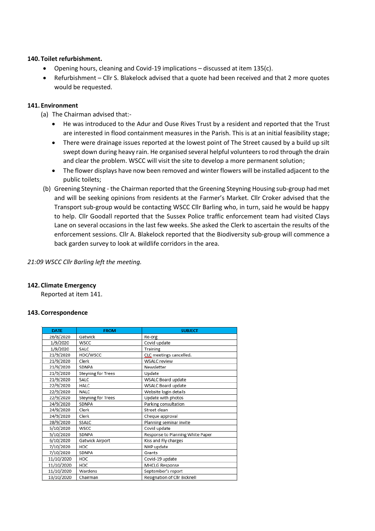### **140. Toilet refurbishment.**

- Opening hours, cleaning and Covid-19 implications discussed at item 135(c).
- Refurbishment Cllr S. Blakelock advised that a quote had been received and that 2 more quotes would be requested.

### **141. Environment**

- (a) The Chairman advised that:-
	- He was introduced to the Adur and Ouse Rives Trust by a resident and reported that the Trust are interested in flood containment measures in the Parish. This is at an initial feasibility stage;
	- There were drainage issues reported at the lowest point of The Street caused by a build up silt swept down during heavy rain. He organised several helpful volunteers to rod through the drain and clear the problem. WSCC will visit the site to develop a more permanent solution;
	- The flower displays have now been removed and winter flowers will be installed adjacent to the public toilets;
- (b) Greening Steyning the Chairman reported that the Greening Steyning Housing sub-group had met and will be seeking opinions from residents at the Farmer's Market. Cllr Croker advised that the Transport sub-group would be contacting WSCC Cllr Barling who, in turn, said he would be happy to help. Cllr Goodall reported that the Sussex Police traffic enforcement team had visited Clays Lane on several occasions in the last few weeks. She asked the Clerk to ascertain the results of the enforcement sessions. Cllr A. Blakelock reported that the Biodiversity sub-group will commence a back garden survey to look at wildlife corridors in the area.

*21:09 WSCC Cllr Barling left the meeting.*

# **142. Climate Emergency**

Reported at item 141.

### **143. Correspondence**

| <b>DATE</b> | <b>FROM</b>        | <b>SUBJECT</b>                   |
|-------------|--------------------|----------------------------------|
| 26/8/2020   | Gatwick            | Re-org                           |
| 1/9/2020    | <b>WSCC</b>        | Covid update                     |
| 1/9/2020    | SALC               | Training                         |
| 21/9/2020   | HDC/WSCC           | CLC meetings cancelled.          |
| 21/9/2020   | Clerk              | <b>WSALC</b> review              |
| 21/9/2020   | SDNPA              | Newsletter                       |
| 21/9/2020   | Steyning for Trees | Update                           |
| 21/9/2020   | SALC               | WSALC Board update               |
| 22/9/2020   | HALC               | WSALC Board update               |
| 22/9/2020   | NALC               | Website login details            |
| 22/9/2020   | Steyning for Trees | Update with photos               |
| 24/9/2020   | SDNPA              | Parking consultation             |
| 24/9/2020   | Clerk              | Street clean                     |
| 24/9/2020   | Clerk              | Cheque approval                  |
| 28/9/2020   | SSALC              | Planning seminar invite          |
| 5/10/2020   | WSCC               | Covid update                     |
| 5/10/2020   | SDNPA              | Response to Planning White Paper |
| 6/10/2020   | Gatwick Airport    | Kiss and Fly charges             |
| 7/10/2020   | HDC                | NHP update                       |
| 7/10/2020   | SDNPA              | Grants                           |
| 11/10/2020  | HDC                | Covid-19 update                  |
| 11/10/2020  | <b>HDC</b>         | MHCLG Response                   |
| 11/10/2020  | Wardens            | September's report               |
| 13/10/2020  | Chairman           | Resignation of Cllr Bicknell     |